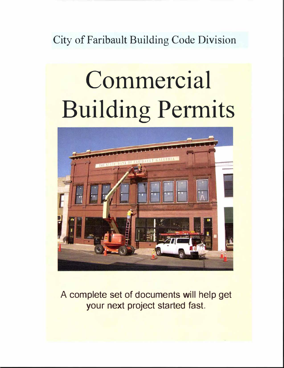City of Faribault Building Code Division

# Commercial Building Permits



A complete set of documents will help get your next project started fast.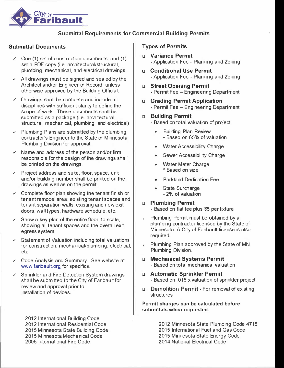

#### **Submittal Requirements for Commercial Building Permits**

#### **Submittal Documents**

- ✓ One **(1)** set of construction documents and (1) set a PDF copy (i.e. architectural/structural, plumbing, mechanical, and electrical drawings.
- ✓ All drawings must be signed and sealed by the Architect and/or Engineer of Record, unless otherwise approved by the Building Official.
- ✓ Drawings shall be complete and include all disciplines with sufficient clarity to define the scope of work. These documents shall be submitted as a package (i.e. architectural, structural, mechanical, plumbing, and electrical)
- ✓ Plumbing Plans are submitted by the plumbing contractor's Engineer to the State of Minnesota Plumbing Division for approval.
- Name and address of the person and/or firm responsible for the design of the drawings shall be printed on the drawings.
- Project address and suite, floor, space, unit and/or building number shall be printed on the drawings as well as on the permit.
- $\checkmark$  Complete floor plan showing the tenant finish or tenant remodel area; existing tenant spaces and tenant separation walls, existing and new exit doors, wall types, hardware schedule, etc.
- $\checkmark$  Show a key plan of the entire floor, to scale, showing all tenant spaces and the overall exit egress system.
- Statement of Valuation including total valuations for construction, mechanical/plumbing, electrical, etc.
- ✓ Code Analysis and Summary. See website at <www.faribault.org>for specifics.
- ✓ Sprinkler and Fire Detection System drawings shall be submitted to the City of Faribault for review and approval prior to installation of devices.

2012 International Building Code 2012 International Residential Code 2015 Minnesota State Building Code 2015 Minnesota Mechanical Code 2006 International Fire Code

#### **Types of Permits**

- **□ Variance Permit**  - Application Fee - Planning and Zoning
- **o Conditional Use Permit**  - Application Fee - Planning and Zoning
- **□ Street Opening Permit**  - Permit Fee - Engineering Department
- **o Grading Permit Application**  - Permit Fee - Engineering Department

#### **□ Building Permit**

- Based on total valuation of project
	- Building Plan Review - Based on 65% of valuation
	- Water Accessibility Charge
	- Sewer Accessibility Charge
	- **Water Meter Charge** \* Based on size
	- Parkland Dedication Fee
	- State Surcharge - 2% of valuation

#### **□ Plumbing Permit**

- Based on flat fee plus \$5 per fixture

- Plumbing Permit must be obtained by a à. plumbing contractor licensed by the State of Minnesota. A City of Faribault license is also required.
- Plumbing Plan approved by the State of MN Plumbing Division.
- **□ Mechanical Systems Permit**  - Based on total mechanical valuation
- **□ Automatic Sprinkler Permit**  - Based on .015 x valuation of sprinkler project
- o **Demolition Permit**  For removal of existing structures

**Permit charges can be calculated before submittals when requested.** 

> 2012 Minnesota State Plumbing Code 4715 2015 International Fuel and Gas Code 2015 Minnesota State Energy Code 2014 Nationa! Electrical Code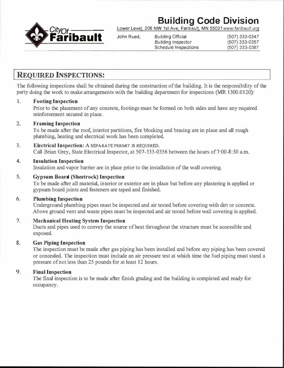## **Building Code Division**



**Building Inspector** Schedule Inspections (507) 333-0387

### **REQUIRED INSPECTIONS:**

The following inspections shall be obtained during the construction of the building. It is the responsibility of the party doing the work to make arrangements with the building department for inspections (MR 1300.0120):

#### **1. Footing Inspection**

Prior to the placement of any concrete, footings must be formed on both sides and have any required reinforcement secured in place.

#### 2. **Framing Inspection**

To be made after the roof, interior partitions, fire blocking and bracing are in place and all rough plumbing, heating and electrical work has been completed.

#### 3. **Electrical Inspection: A SEPARATE PERMIT IS REQUIRED.**

Call Brian Grey, State Electrical Inspector, at 507-333-0356 between the hours of7:00-8:30 a.m.

#### **4. Insulation Inspection**

Insulation and vapor barrier are in place prior to the installation of the wall covering.

#### 5. **Gypsum Board (Sheetrock) Inspection**

To be made after all material, interior or exterior are in place but before any plastering is applied or gypsum board joints and fasteners are taped and finished.

#### **6. Plumbing Inspection**

Underground plumbing pipes must be inspected and air tested before covering with dirt or concrete. Above ground vent and waste pipes must be inspected and air tested before wall covering is applied.

#### 7. **Mechanical Heating System Inspection**

Ducts and pipes used to convey the source of heat throughout the structure must be accessible and exposed.

#### **8. Gas Piping Inspection**

The inspection must be made after gas piping has been installed and before any piping has been covered or concealed. The inspection must include an air pressure test at which time the fuel piping must stand a pressure of not less than 25 pounds for at least 12 hours.

#### **9. Final Inspection**

The final inspection is to be made after finish grading and the building is completed and ready for occupancy.